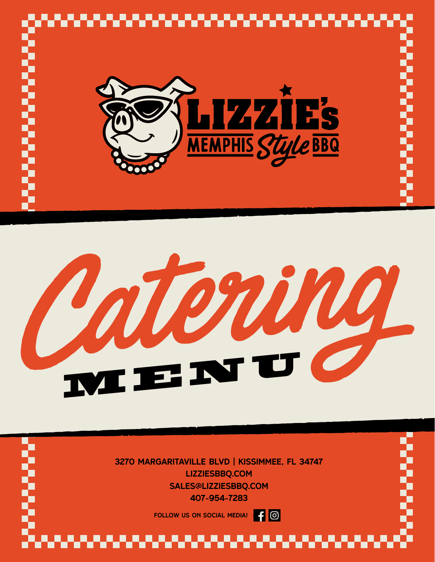

# TI. MENU

3270 Margaritaville Blvd | kissimmee, fl 34747 lizziesBBQ.com sales@lizziesBBQ.com 407-954-7283

> $|f|$   $\odot$ FOllow us on social media!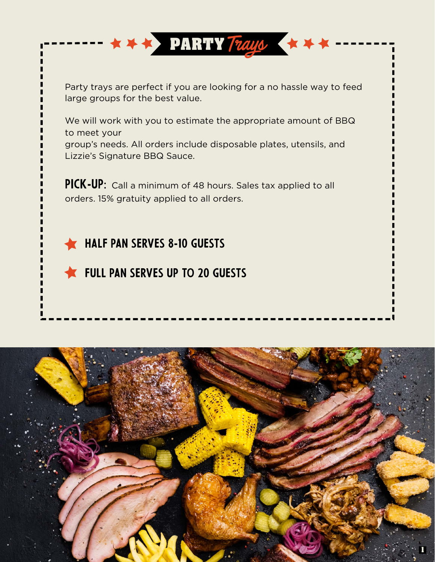Party trays are perfect if you are looking for a no hassle way to feed large groups for the best value.

**PARTY** Trays

We will work with you to estimate the appropriate amount of BBQ to meet your group's needs. All orders include disposable plates, utensils, and Lizzie's Signature BBQ Sauce.

PICK-UP: Call a minimum of 48 hours. Sales tax applied to all orders. 15% gratuity applied to all orders.

#### **HALF PAN SERVES 8-10 GUESTS**

#### **THE FULL PAN SERVES UP TO 20 GUESTS**

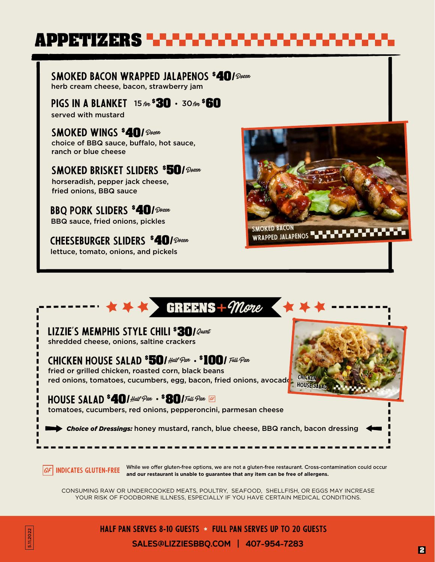## **APPETIZERS**

Smoked Bacon Wrapped Jalapenos Dozen **40/ \$** herb cream cheese, bacon, strawberry jam

**PIGS IN A BLANKET** 15 for **\$30 ·** 30 for **60** served with mustard

Smoked Wings **40/**Dozen **\$** choice of BBQ sauce, buffalo, hot sauce, ranch or blue cheese

Smoked Brisket Sliders **50/**Dozen **\$** horseradish, pepper jack cheese, fried onions, BBQ sauce

BBQ Pork Sliders **40/**Dozen **\$** BBQ sauce, fried onions, pickles

CHEESEBURGER SLIDERS **40/**Dozen **\$** lettuce, tomato, onions, and pickels



WRAPPED JALAPENOS **- - - - - -**



YOUR RISK OF FOODBORNE ILLNESS, ESPECIALLY IF YOU HAVE CERTAIN MEDICAL CONDITIONS.



HALF PAN SERVES 8-10 GUESTS  $\star$  full pan serves up to 20 guests

sales@lizziesBBQ.com | 407-954-7283